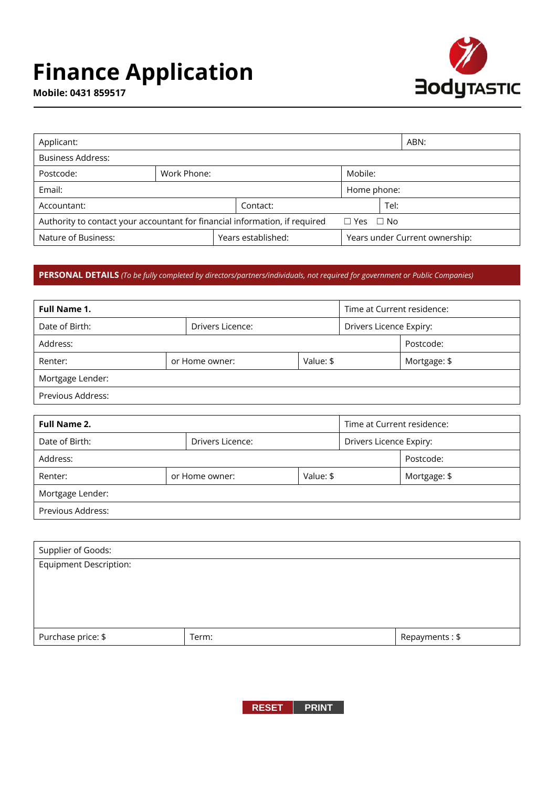# **Finance Application**



**Mobile: 0431 859517**

| Applicant:                                                                  |  |  |                                |      |  |
|-----------------------------------------------------------------------------|--|--|--------------------------------|------|--|
| <b>Business Address:</b>                                                    |  |  |                                |      |  |
| Work Phone:<br>Postcode:                                                    |  |  | Mobile:                        |      |  |
| Email:                                                                      |  |  | Home phone:                    |      |  |
| Contact:<br>Accountant:                                                     |  |  |                                | Tel: |  |
| Authority to contact your accountant for financial information, if required |  |  | $\Box$ Yes $\Box$ No           |      |  |
| Years established:<br>Nature of Business:                                   |  |  | Years under Current ownership: |      |  |

# **PERSONAL DETAILS** *(To be fully completed by directors/partners/individuals, not required for government or Public Companies)*

| Full Name 1.      |  |                             |  | Time at Current residence: |              |
|-------------------|--|-----------------------------|--|----------------------------|--------------|
| Date of Birth:    |  | Drivers Licence:            |  | Drivers Licence Expiry:    |              |
| Address:          |  |                             |  | Postcode:                  |              |
| Renter:           |  | Value: \$<br>or Home owner: |  |                            | Mortgage: \$ |
| Mortgage Lender:  |  |                             |  |                            |              |
| Previous Address: |  |                             |  |                            |              |

| <b>Full Name 2.</b> | Time at Current residence: |           |           |                         |  |
|---------------------|----------------------------|-----------|-----------|-------------------------|--|
| Date of Birth:      | Drivers Licence:           |           |           | Drivers Licence Expiry: |  |
| Address:            |                            |           | Postcode: |                         |  |
| Renter:             | or Home owner:             | Value: \$ |           | Mortgage: \$            |  |
| Mortgage Lender:    |                            |           |           |                         |  |
| Previous Address:   |                            |           |           |                         |  |

| Supplier of Goods:            |       |                |
|-------------------------------|-------|----------------|
| <b>Equipment Description:</b> |       |                |
|                               |       |                |
|                               |       |                |
|                               |       |                |
| Purchase price: \$            | Term: | Repayments: \$ |

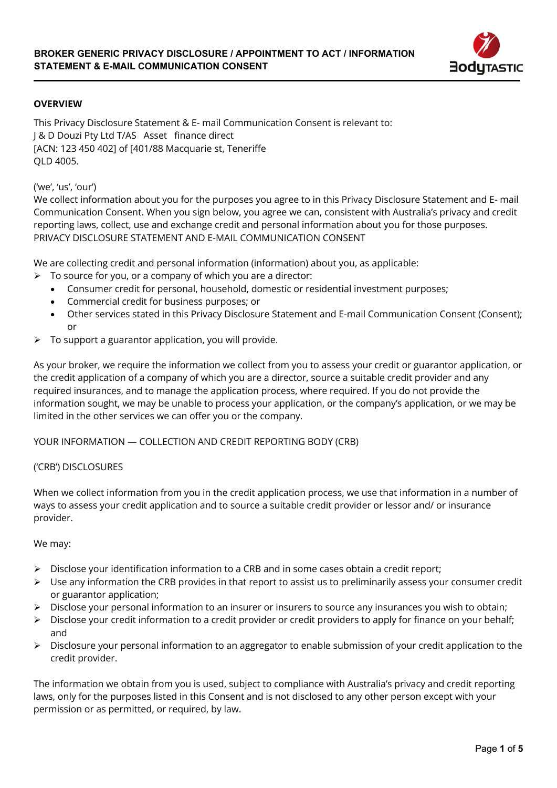

# **OVERVIEW**

This Privacy Disclosure Statement & E- mail Communication Consent is relevant to: J & D Douzi Pty Ltd T/AS Asset finance direct [ACN: 123 450 402] of [401/88 Macquarie st, Teneriffe QLD 4005.

('we', 'us', 'our')

We collect information about you for the purposes you agree to in this Privacy Disclosure Statement and E- mail Communication Consent. When you sign below, you agree we can, consistent with Australia's privacy and credit reporting laws, collect, use and exchange credit and personal information about you for those purposes. PRIVACY DISCLOSURE STATEMENT AND E-MAIL COMMUNICATION CONSENT

We are collecting credit and personal information (information) about you, as applicable:

- $\triangleright$  To source for you, or a company of which you are a director:
	- Consumer credit for personal, household, domestic or residential investment purposes;
	- x Commercial credit for business purposes; or
	- Other services stated in this Privacy Disclosure Statement and E-mail Communication Consent (Consent); or
- $\triangleright$  To support a guarantor application, you will provide.

As your broker, we require the information we collect from you to assess your credit or guarantor application, or the credit application of a company of which you are a director, source a suitable credit provider and any required insurances, and to manage the application process, where required. If you do not provide the information sought, we may be unable to process your application, or the company's application, or we may be limited in the other services we can offer you or the company.

#### YOUR INFORMATION — COLLECTION AND CREDIT REPORTING BODY (CRB)

#### ('CRB') DISCLOSURES

When we collect information from you in the credit application process, we use that information in a number of ways to assess your credit application and to source a suitable credit provider or lessor and/ or insurance provider.

We may:

- $\triangleright$  Disclose your identification information to a CRB and in some cases obtain a credit report;
- $\triangleright$  Use any information the CRB provides in that report to assist us to preliminarily assess your consumer credit or guarantor application;
- ¾ Disclose your personal information to an insurer or insurers to source any insurances you wish to obtain;
- $\triangleright$  Disclose your credit information to a credit provider or credit providers to apply for finance on your behalf; and
- $\triangleright$  Disclosure your personal information to an aggregator to enable submission of your credit application to the credit provider.

The information we obtain from you is used, subject to compliance with Australia's privacy and credit reporting laws, only for the purposes listed in this Consent and is not disclosed to any other person except with your permission or as permitted, or required, by law.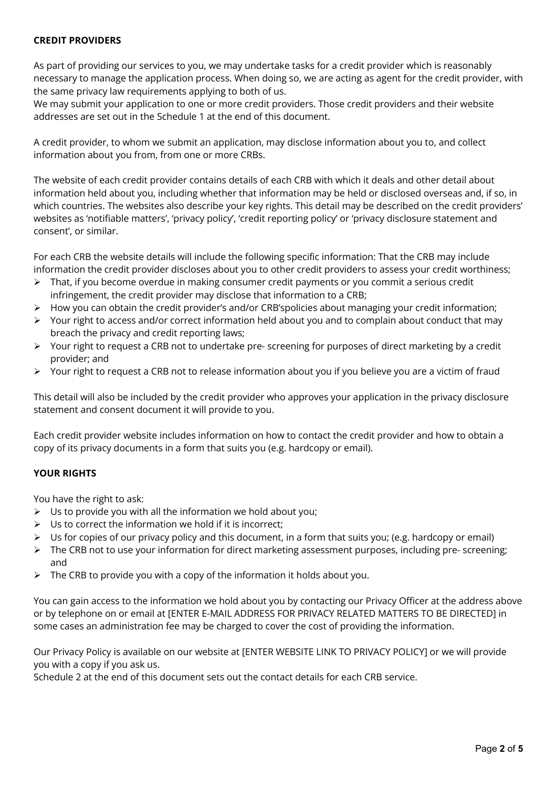## **CREDIT PROVIDERS**

As part of providing our services to you, we may undertake tasks for a credit provider which is reasonably necessary to manage the application process. When doing so, we are acting as agent for the credit provider, with the same privacy law requirements applying to both of us.

We may submit your application to one or more credit providers. Those credit providers and their website addresses are set out in the Schedule 1 at the end of this document.

A credit provider, to whom we submit an application, may disclose information about you to, and collect information about you from, from one or more CRBs.

The website of each credit provider contains details of each CRB with which it deals and other detail about information held about you, including whether that information may be held or disclosed overseas and, if so, in which countries. The websites also describe your key rights. This detail may be described on the credit providers' websites as 'notifiable matters', 'privacy policy', 'credit reporting policy' or 'privacy disclosure statement and consent', or similar.

For each CRB the website details will include the following specific information: That the CRB may include information the credit provider discloses about you to other credit providers to assess your credit worthiness;

- $\triangleright$  That, if you become overdue in making consumer credit payments or you commit a serious credit infringement, the credit provider may disclose that information to a CRB;
- ¾ How you can obtain the credit provider's and/or CRB'spolicies about managing your credit information;
- $\triangleright$  Your right to access and/or correct information held about you and to complain about conduct that may breach the privacy and credit reporting laws;
- $\triangleright$  Your right to request a CRB not to undertake pre-screening for purposes of direct marketing by a credit provider; and
- ¾ Your right to request a CRB not to release information about you if you believe you are a victim of fraud

This detail will also be included by the credit provider who approves your application in the privacy disclosure statement and consent document it will provide to you.

Each credit provider website includes information on how to contact the credit provider and how to obtain a copy of its privacy documents in a form that suits you (e.g. hardcopy or email).

# **YOUR RIGHTS**

You have the right to ask:

- $\triangleright$  Us to provide you with all the information we hold about you;
- $\triangleright$  Us to correct the information we hold if it is incorrect:
- ¾ Us for copies of our privacy policy and this document, in a form that suits you; (e.g. hardcopy or email)
- ¾ The CRB not to use your information for direct marketing assessment purposes, including pre- screening; and
- $\triangleright$  The CRB to provide you with a copy of the information it holds about you.

You can gain access to the information we hold about you by contacting our Privacy Officer at the address above or by telephone on or email at [ENTER E-MAIL ADDRESS FOR PRIVACY RELATED MATTERS TO BE DIRECTED] in some cases an administration fee may be charged to cover the cost of providing the information.

Our Privacy Policy is available on our website at [ENTER WEBSITE LINK TO PRIVACY POLICY] or we will provide you with a copy if you ask us.

Schedule 2 at the end of this document sets out the contact details for each CRB service.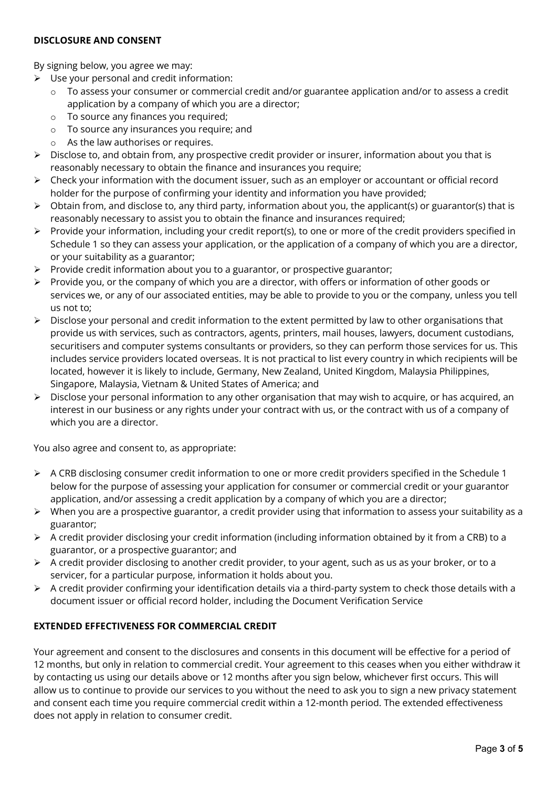### **DISCLOSURE AND CONSENT**

By signing below, you agree we may:

- $\triangleright$  Use your personal and credit information:
	- $\circ$  To assess your consumer or commercial credit and/or guarantee application and/or to assess a credit application by a company of which you are a director;
	- o To source any finances you required;
	- $\circ$  To source any insurances you require; and
	- $\circ$  As the law authorises or requires.
- $\triangleright$  Disclose to, and obtain from, any prospective credit provider or insurer, information about you that is reasonably necessary to obtain the finance and insurances you require;
- $\triangleright$  Check your information with the document issuer, such as an employer or accountant or official record holder for the purpose of confirming your identity and information you have provided;
- $\triangleright$  Obtain from, and disclose to, any third party, information about you, the applicant(s) or guarantor(s) that is reasonably necessary to assist you to obtain the finance and insurances required;
- ¾ Provide your information, including your credit report(s), to one or more of the credit providers specified in Schedule 1 so they can assess your application, or the application of a company of which you are a director, or your suitability as a guarantor;
- $\triangleright$  Provide credit information about you to a guarantor, or prospective guarantor;
- $\triangleright$  Provide you, or the company of which you are a director, with offers or information of other goods or services we, or any of our associated entities, may be able to provide to you or the company, unless you tell us not to;
- $\triangleright$  Disclose your personal and credit information to the extent permitted by law to other organisations that provide us with services, such as contractors, agents, printers, mail houses, lawyers, document custodians, securitisers and computer systems consultants or providers, so they can perform those services for us. This includes service providers located overseas. It is not practical to list every country in which recipients will be located, however it is likely to include, Germany, New Zealand, United Kingdom, Malaysia Philippines, Singapore, Malaysia, Vietnam & United States of America; and
- $\triangleright$  Disclose your personal information to any other organisation that may wish to acquire, or has acquired, an interest in our business or any rights under your contract with us, or the contract with us of a company of which you are a director.

You also agree and consent to, as appropriate:

- ¾ A CRB disclosing consumer credit information to one or more credit providers specified in the Schedule 1 below for the purpose of assessing your application for consumer or commercial credit or your guarantor application, and/or assessing a credit application by a company of which you are a director;
- $\triangleright$  When you are a prospective guarantor, a credit provider using that information to assess your suitability as a guarantor;
- ¾ A credit provider disclosing your credit information (including information obtained by it from a CRB) to a guarantor, or a prospective guarantor; and
- ¾ A credit provider disclosing to another credit provider, to your agent, such as us as your broker, or to a servicer, for a particular purpose, information it holds about you.
- $\triangleright$  A credit provider confirming your identification details via a third-party system to check those details with a document issuer or official record holder, including the Document Verification Service

# **EXTENDED EFFECTIVENESS FOR COMMERCIAL CREDIT**

Your agreement and consent to the disclosures and consents in this document will be effective for a period of 12 months, but only in relation to commercial credit. Your agreement to this ceases when you either withdraw it by contacting us using our details above or 12 months after you sign below, whichever first occurs. This will allow us to continue to provide our services to you without the need to ask you to sign a new privacy statement and consent each time you require commercial credit within a 12-month period. The extended effectiveness does not apply in relation to consumer credit.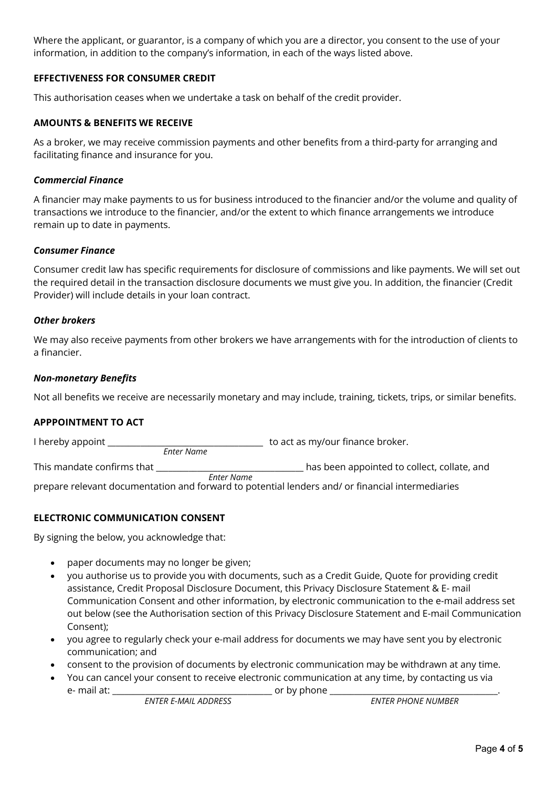Where the applicant, or guarantor, is a company of which you are a director, you consent to the use of your information, in addition to the company's information, in each of the ways listed above.

# **EFFECTIVENESS FOR CONSUMER CREDIT**

This authorisation ceases when we undertake a task on behalf of the credit provider.

#### **AMOUNTS & BENEFITS WE RECEIVE**

As a broker, we may receive commission payments and other benefits from a third-party for arranging and facilitating finance and insurance for you.

#### *Commercial Finance*

A financier may make payments to us for business introduced to the financier and/or the volume and quality of transactions we introduce to the financier, and/or the extent to which finance arrangements we introduce remain up to date in payments.

#### *Consumer Finance*

Consumer credit law has specific requirements for disclosure of commissions and like payments. We will set out the required detail in the transaction disclosure documents we must give you. In addition, the financier (Credit Provider) will include details in your loan contract.

#### *Other brokers*

We may also receive payments from other brokers we have arrangements with for the introduction of clients to a financier.

#### *Non-monetary Benefits*

Not all benefits we receive are necessarily monetary and may include, training, tickets, trips, or similar benefits.

# **APPPOINTMENT TO ACT**

I hereby appoint **I** hereby appoint **the state of the state of the state of the state of the state of the state of the state of the state of the state of the state of the state of the state of the state of the state of the** This mandate confirms that \_\_\_\_\_\_\_\_\_\_\_\_\_\_\_\_\_\_\_\_\_\_\_\_\_\_\_\_\_\_\_\_\_\_\_\_ has been appointed to collect, collate, and prepare relevant documentation and forward to potential lenders and/ or financial intermediaries *Enter Name Enter Name*

# **ELECTRONIC COMMUNICATION CONSENT**

By signing the below, you acknowledge that:

- paper documents may no longer be given;
- x you authorise us to provide you with documents, such as a Credit Guide, Quote for providing credit assistance, Credit Proposal Disclosure Document, this Privacy Disclosure Statement & E- mail Communication Consent and other information, by electronic communication to the e-mail address set out below (see the Authorisation section of this Privacy Disclosure Statement and E-mail Communication Consent);
- you agree to regularly check your e-mail address for documents we may have sent you by electronic communication; and
- x consent to the provision of documents by electronic communication may be withdrawn at any time.
- x You can cancel your consent to receive electronic communication at any time, by contacting us via
	-

**ENTER E-MAIL ADDRESS** 

e- mail at: \_\_\_\_\_\_\_\_\_\_\_\_\_\_\_\_\_\_\_\_\_\_\_\_\_\_\_\_\_\_\_\_\_\_\_\_\_\_\_ or by phone \_\_\_\_\_\_\_\_\_\_\_\_\_\_\_\_\_\_\_\_\_\_\_\_\_\_\_\_\_\_\_\_\_\_\_\_\_\_\_\_\_.